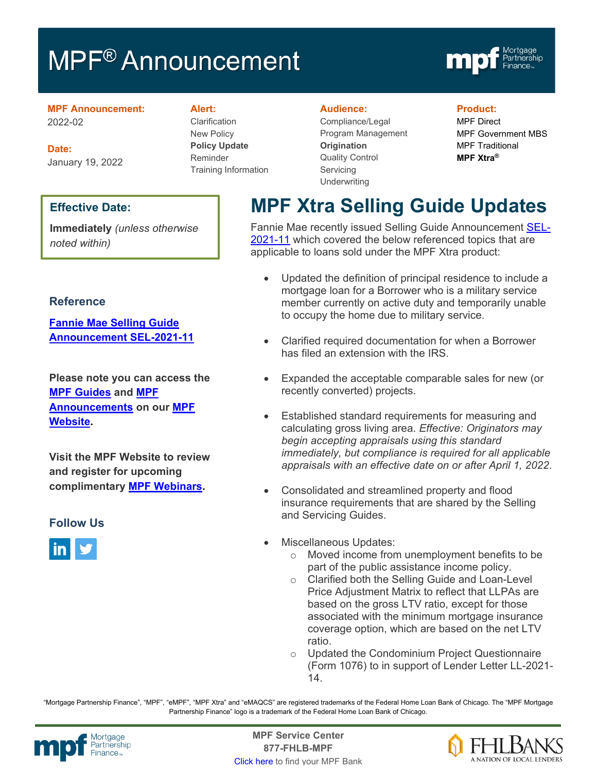# MPF<sup>®</sup> Announcement



**MPF Announcement:** 2022-02

**Date:** January 19, 2022

#### **Effective Date:**

**Immediately** *(unless otherwise noted within)*

#### **Reference**

**[Fannie Mae Selling Guide](https://singlefamily.fanniemae.com/media/30296/display)  [Announcement SEL-2021-11](https://singlefamily.fanniemae.com/media/30296/display)**

**Please note you can access the [MPF Guides](https://fhlbmpf.com/mpf-guides/guides) and [MPF](https://fhlbmpf.com/mpf-guides/announcements)  [Announcements](https://fhlbmpf.com/mpf-guides/announcements) on our [MPF](https://fhlbmpf.com/) [Website.](https://fhlbmpf.com/)** 

**Visit the MPF Website to review and register for upcoming complimentary [MPF Webinars.](https://www.fhlbmpf.com/education/upcoming-webinars)**

#### **Follow Us**



#### **Alert:**

Clarification New Policy **Policy Update** Reminder Training Information

#### **Audience:**

Compliance/Legal Program Management **Origination**  Quality Control **Servicing Underwriting** 

#### **Product:**

MPF Direct MPF Government MBS MPF Traditional **MPF Xtra®**

## **MPF Xtra Selling Guide Updates**

Fannie Mae recently issued Selling Guide Announcement [SEL-](https://singlefamily.fanniemae.com/media/30296/display)[2021-11](https://singlefamily.fanniemae.com/media/30296/display) which covered the below referenced topics that are applicable to loans sold under the MPF Xtra product:

- Updated the definition of principal residence to include a mortgage loan for a Borrower who is a military service member currently on active duty and temporarily unable to occupy the home due to military service.
- Clarified required documentation for when a Borrower has filed an extension with the IRS.
- Expanded the acceptable comparable sales for new (or recently converted) projects.
- Established standard requirements for measuring and calculating gross living area. *Effective: Originators may begin accepting appraisals using this standard immediately, but compliance is required for all applicable appraisals with an effective date on or after April 1, 2022*.
- Consolidated and streamlined property and flood insurance requirements that are shared by the Selling and Servicing Guides.
- Miscellaneous Updates:
	- o Moved income from unemployment benefits to be part of the public assistance income policy.
	- o Clarified both the Selling Guide and Loan-Level Price Adjustment Matrix to reflect that LLPAs are based on the gross LTV ratio, except for those associated with the minimum mortgage insurance coverage option, which are based on the net LTV ratio.
	- o Updated the Condominium Project Questionnaire (Form 1076) to in support of Lender Letter LL-2021- 14.

"Mortgage Partnership Finance", "MPF", "eMPF", "MPF Xtra" and "eMAQCS" are registered trademarks of the Federal Home Loan Bank of Chicago. The "MPF Mortgage Partnership Finance" logo is a trademark of the Federal Home Loan Bank of Chicago.



Mortgage **Center Service Center**<br>Partnership **Canadian Center Center**<br> **Partnership CALL STATELL B MDE 877-FHLB-MPF** [Click here](https://www.fhlbmpf.com/fhlbanks/fhlbanks) to find your MPF Bank

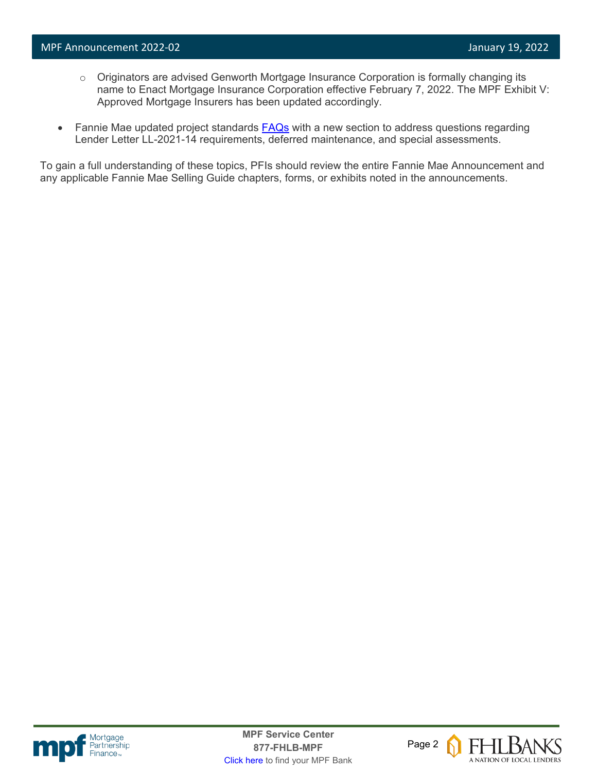- o Originators are advised Genworth Mortgage Insurance Corporation is formally changing its name to Enact Mortgage Insurance Corporation effective February 7, 2022. The MPF Exhibit V: Approved Mortgage Insurers has been updated accordingly.
- Fannie Mae updated project standards **FAQs** with a new section to address questions regarding Lender Letter LL-2021-14 requirements, deferred maintenance, and special assessments.

To gain a full understanding of these topics, PFIs should review the entire Fannie Mae Announcement and any applicable Fannie Mae Selling Guide chapters, forms, or exhibits noted in the announcements.



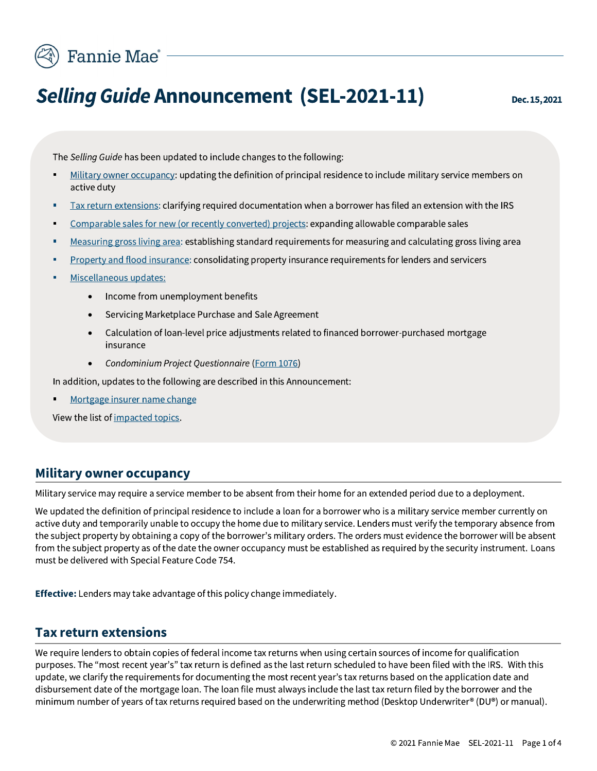

# **Selling Guide Announcement (SEL-2021-11)**

The Selling Guide has been updated to include changes to the following:

- Military owner occupancy: updating the definition of principal residence to include military service members on active duty
- Tax return extensions: clarifying required documentation when a borrower has filed an extension with the IRS
- Comparable sales for new (or recently converted) projects: expanding allowable comparable sales
- Measuring gross living area: establishing standard requirements for measuring and calculating gross living area
- Property and flood insurance: consolidating property insurance requirements for lenders and servicers
- Miscellaneous updates:
	- Income from unemployment benefits  $\bullet$
	- Servicing Marketplace Purchase and Sale Agreement
	- Calculation of loan-level price adjustments related to financed borrower-purchased mortgage insurance
	- Condominium Project Questionnaire (Form 1076)

In addition, updates to the following are described in this Announcement:

Mortgage insurer name change

View the list of impacted topics.

#### **Military owner occupancy**

Military service may require a service member to be absent from their home for an extended period due to a deployment.

We updated the definition of principal residence to include a loan for a borrower who is a military service member currently on active duty and temporarily unable to occupy the home due to military service. Lenders must verify the temporary absence from the subject property by obtaining a copy of the borrower's military orders. The orders must evidence the borrower will be absent from the subject property as of the date the owner occupancy must be established as required by the security instrument. Loans must be delivered with Special Feature Code 754.

**Effective:** Lenders may take advantage of this policy change immediately.

#### **Tax return extensions**

We require lenders to obtain copies of federal income tax returns when using certain sources of income for qualification purposes. The "most recent year's" tax return is defined as the last return scheduled to have been filed with the IRS. With this update, we clarify the requirements for documenting the most recent year's tax returns based on the application date and disbursement date of the mortgage loan. The loan file must always include the last tax return filed by the borrower and the minimum number of years of tax returns required based on the underwriting method (Desktop Underwriter® (DU®) or manual).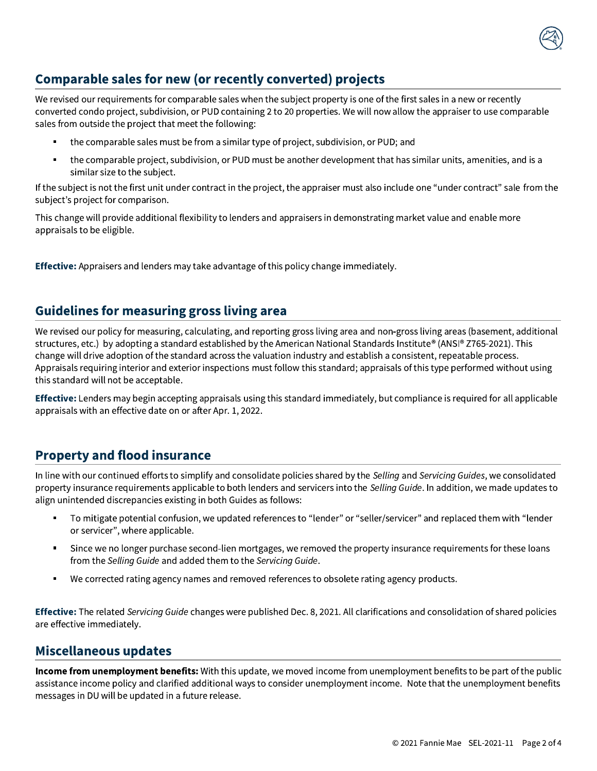#### Comparable sales for new (or recently converted) projects

We revised our requirements for comparable sales when the subject property is one of the first sales in a new or recently converted condo project, subdivision, or PUD containing 2 to 20 properties. We will now allow the appraiser to use comparable sales from outside the project that meet the following:

- the comparable sales must be from a similar type of project, subdivision, or PUD; and
- the comparable project, subdivision, or PUD must be another development that has similar units, amenities, and is a similar size to the subject.

If the subject is not the first unit under contract in the project, the appraiser must also include one "under contract" sale from the subject's project for comparison.

This change will provide additional flexibility to lenders and appraisers in demonstrating market value and enable more appraisals to be eligible.

**Effective:** Appraisers and lenders may take advantage of this policy change immediately.

#### **Guidelines for measuring gross living area**

We revised our policy for measuring, calculating, and reporting gross living area and non-gross living areas (basement, additional structures, etc.) by adopting a standard established by the American National Standards Institute® (ANSI® Z765-2021). This change will drive adoption of the standard across the valuation industry and establish a consistent, repeatable process. Appraisals requiring interior and exterior inspections must follow this standard; appraisals of this type performed without using this standard will not be acceptable.

**Effective:** Lenders may begin accepting appraisals using this standard immediately, but compliance is required for all applicable appraisals with an effective date on or after Apr. 1, 2022.

#### **Property and flood insurance**

In line with our continued efforts to simplify and consolidate policies shared by the Selling and Servicing Guides, we consolidated property insurance requirements applicable to both lenders and servicers into the Selling Guide. In addition, we made updates to align unintended discrepancies existing in both Guides as follows:

- To mitigate potential confusion, we updated references to "lender" or "seller/servicer" and replaced them with "lender or servicer", where applicable.
- Since we no longer purchase second-lien mortgages, we removed the property insurance requirements for these loans from the Selling Guide and added them to the Servicing Guide.
- We corrected rating agency names and removed references to obsolete rating agency products.

**Effective:** The related Servicing Guide changes were published Dec. 8, 2021. All clarifications and consolidation of shared policies are effective immediately.

#### **Miscellaneous updates**

Income from unemployment benefits: With this update, we moved income from unemployment benefits to be part of the public assistance income policy and clarified additional ways to consider unemployment income. Note that the unemployment benefits messages in DU will be updated in a future release.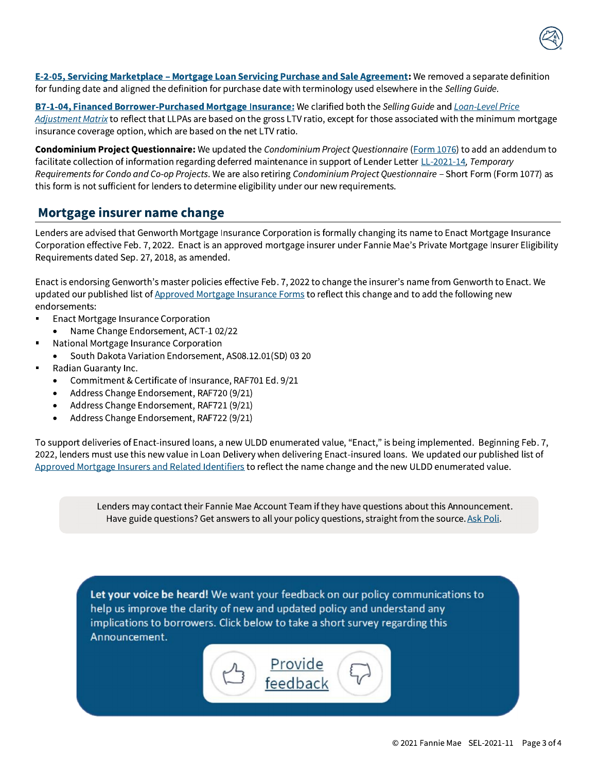

E-2-05, Servicing Marketplace - Mortgage Loan Servicing Purchase and Sale Agreement: We removed a separate definition for funding date and aligned the definition for purchase date with terminology used elsewhere in the Selling Guide.

B7-1-04, Financed Borrower-Purchased Mortgage Insurance: We clarified both the Selling Guide and Loan-Level Price Adjustment Matrix to reflect that LLPAs are based on the gross LTV ratio, except for those associated with the minimum mortgage insurance coverage option, which are based on the net LTV ratio.

Condominium Project Questionnaire: We updated the Condominium Project Questionnaire (Form 1076) to add an addendum to facilitate collection of information regarding deferred maintenance in support of Lender Letter LL-2021-14, Temporary Requirements for Condo and Co-op Projects. We are also retiring Condominium Project Questionnaire - Short Form (Form 1077) as this form is not sufficient for lenders to determine eligibility under our new requirements.

#### Mortgage insurer name change

Lenders are advised that Genworth Mortgage Insurance Corporation is formally changing its name to Enact Mortgage Insurance Corporation effective Feb. 7, 2022. Enact is an approved mortgage insurer under Fannie Mae's Private Mortgage Insurer Eligibility Requirements dated Sep. 27, 2018, as amended.

Enact is endorsing Genworth's master policies effective Feb. 7, 2022 to change the insurer's name from Genworth to Enact. We updated our published list of Approved Mortgage Insurance Forms to reflect this change and to add the following new endorsements:

- Enact Mortgage Insurance Corporation
- Name Change Endorsement, ACT-1 02/22
- National Mortgage Insurance Corporation
	- South Dakota Variation Endorsement, AS08.12.01(SD) 03 20  $\bullet$
- Radian Guaranty Inc.
	- Commitment & Certificate of Insurance, RAF701 Ed. 9/21  $\bullet$
	- Address Change Endorsement, RAF720 (9/21)
	- Address Change Endorsement, RAF721 (9/21)
	- Address Change Endorsement, RAF722 (9/21)  $\bullet$

To support deliveries of Enact-insured loans, a new ULDD enumerated value, "Enact," is being implemented. Beginning Feb. 7, 2022, lenders must use this new value in Loan Delivery when delivering Enact-insured loans. We updated our published list of Approved Mortgage Insurers and Related Identifiers to reflect the name change and the new ULDD enumerated value.

> Lenders may contact their Fannie Mae Account Team if they have questions about this Announcement. Have guide questions? Get answers to all your policy questions, straight from the source. Ask Poli.

Let your voice be heard! We want your feedback on our policy communications to help us improve the clarity of new and updated policy and understand any implications to borrowers. Click below to take a short survey regarding this Announcement.